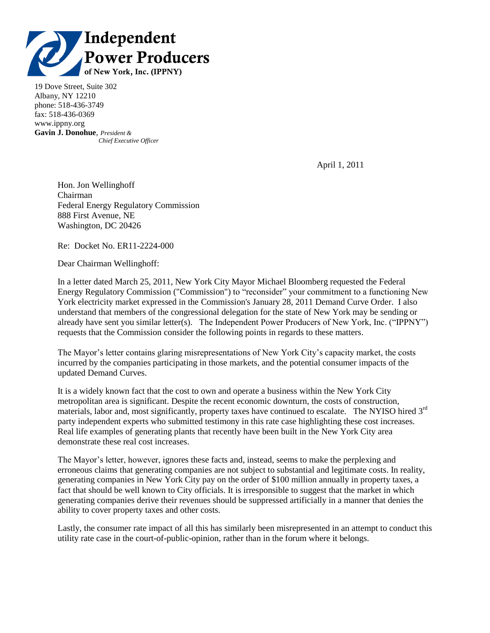

19 Dove Street, Suite 302 Albany, NY 12210 phone: 518-436-3749 fax: 518-436-0369 www.ippny.org **Gavin J. Donohue**, *President & Chief Executive Officer*

April 1, 2011

Hon. Jon Wellinghoff Chairman Federal Energy Regulatory Commission 888 First Avenue, NE Washington, DC 20426

Re: Docket No. ER11-2224-000

Dear Chairman Wellinghoff:

In a letter dated March 25, 2011, New York City Mayor Michael Bloomberg requested the Federal Energy Regulatory Commission ("Commission") to "reconsider" your commitment to a functioning New York electricity market expressed in the Commission's January 28, 2011 Demand Curve Order. I also understand that members of the congressional delegation for the state of New York may be sending or already have sent you similar letter(s). The Independent Power Producers of New York, Inc. ("IPPNY") requests that the Commission consider the following points in regards to these matters.

The Mayor's letter contains glaring misrepresentations of New York City's capacity market, the costs incurred by the companies participating in those markets, and the potential consumer impacts of the updated Demand Curves.

It is a widely known fact that the cost to own and operate a business within the New York City metropolitan area is significant. Despite the recent economic downturn, the costs of construction, materials, labor and, most significantly, property taxes have continued to escalate. The NYISO hired 3<sup>rd</sup> party independent experts who submitted testimony in this rate case highlighting these cost increases. Real life examples of generating plants that recently have been built in the New York City area demonstrate these real cost increases.

The Mayor's letter, however, ignores these facts and, instead, seems to make the perplexing and erroneous claims that generating companies are not subject to substantial and legitimate costs. In reality, generating companies in New York City pay on the order of \$100 million annually in property taxes, a fact that should be well known to City officials. It is irresponsible to suggest that the market in which generating companies derive their revenues should be suppressed artificially in a manner that denies the ability to cover property taxes and other costs.

Lastly, the consumer rate impact of all this has similarly been misrepresented in an attempt to conduct this utility rate case in the court-of-public-opinion, rather than in the forum where it belongs.